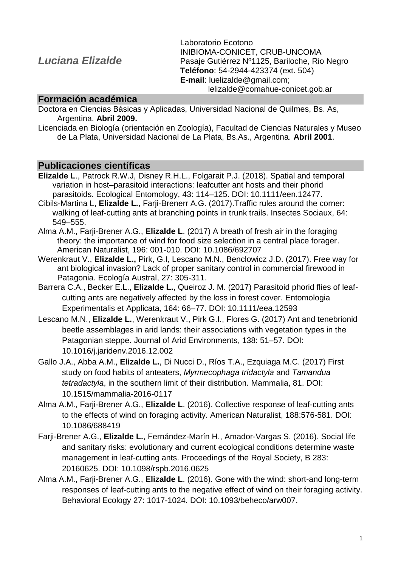# *Luciana Elizalde*

Laboratorio Ecotono INIBIOMA-CONICET, CRUB-UNCOMA Pasaje Gutiérrez Nº1125, Bariloche, Rio Negro **Teléfono**: 54-2944-423374 (ext. 504) **E-mail**: luelizalde@gmail.com; lelizalde@comahue-conicet.gob.ar

#### **Formación académica**

Doctora en Ciencias Básicas y Aplicadas, Universidad Nacional de Quilmes, Bs. As, Argentina. **Abril 2009.**

Licenciada en Biología (orientación en Zoología), Facultad de Ciencias Naturales y Museo de La Plata, Universidad Nacional de La Plata, Bs.As., Argentina. **Abril 2001**.

### **Publicaciones científicas**

- **Elizalde L**., Patrock R.W.J, Disney R.H.L., Folgarait P.J. (2018). Spatial and temporal variation in host–parasitoid interactions: leafcutter ant hosts and their phorid parasitoids. Ecological Entomology, 43: 114–125. DOI: 10.1111/een.12477.
- Cibils-Martina L, **Elizalde L.**, Farji-Brenerr A.G. (2017).Traffic rules around the corner: walking of leaf-cutting ants at branching points in trunk trails. Insectes Sociaux, 64: 549–555.
- Alma A.M., Farji-Brener A.G., **Elizalde L**. (2017) A breath of fresh air in the foraging theory: the importance of wind for food size selection in a central place forager. American Naturalist, 196: 001-010. DOI: 10.1086/692707
- Werenkraut V., **Elizalde L.,** Pirk, G.I, Lescano M.N., Benclowicz J.D. (2017). Free way for ant biological invasion? Lack of proper sanitary control in commercial firewood in Patagonia. Ecología Austral, 27: 305-311.
- Barrera C.A., Becker E.L., **Elizalde L.**, Queiroz J. M. (2017) Parasitoid phorid flies of leafcutting ants are negatively affected by the loss in forest cover. Entomologia Experimentalis et Applicata, 164: 66–77. DOI: 10.1111/eea.12593
- Lescano M.N., **Elizalde L.**, Werenkraut V., Pirk G.I., Flores G. (2017) Ant and tenebrionid beetle assemblages in arid lands: their associations with vegetation types in the Patagonian steppe. Journal of Arid Environments, 138: 51–57. DOI: 10.1016/j.jaridenv.2016.12.002
- Gallo J.A., Abba A.M., **Elizalde L.**, Di Nucci D., Ríos T.A., Ezquiaga M.C. (2017) First study on food habits of anteaters, *Myrmecophaga tridactyla* and *Tamandua tetradactyla*, in the southern limit of their distribution. Mammalia, 81. DOI: 10.1515/mammalia-2016-0117
- Alma A.M., Farji-Brener A.G., **Elizalde L**. (2016). Collective response of leaf-cutting ants to the effects of wind on foraging activity. American Naturalist, 188:576-581. DOI: 10.1086/688419
- Farji-Brener A.G., **Elizalde L.**, Fernández-Marín H., Amador-Vargas S. (2016). Social life and sanitary risks: evolutionary and current ecological conditions determine waste management in leaf-cutting ants. Proceedings of the Royal Society, B 283: 20160625. DOI: 10.1098/rspb.2016.0625
- Alma A.M., Farji-Brener A.G., **Elizalde L**. (2016). Gone with the wind: short-and long-term responses of leaf-cutting ants to the negative effect of wind on their foraging activity. Behavioral Ecology 27: 1017-1024. DOI: 10.1093/beheco/arw007.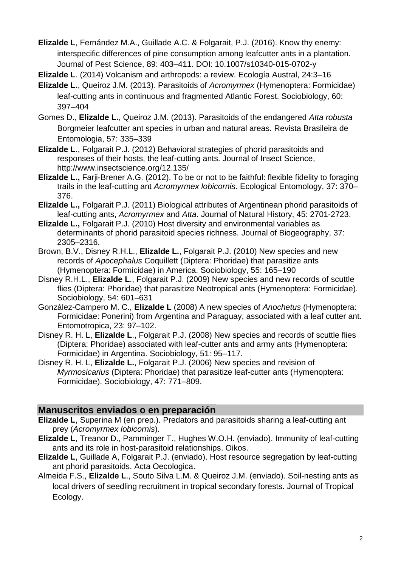**Elizalde L**, Fernández M.A., Guillade A.C. & Folgarait, P.J. (2016). Know thy enemy: interspecific differences of pine consumption among leafcutter ants in a plantation. Journal of Pest Science, 89: 403–411. DOI: 10.1007/s10340-015-0702-y

**Elizalde L**. (2014) Volcanism and arthropods: a review. Ecología Austral, 24:3–16

- **Elizalde L.**, Queiroz J.M. (2013). Parasitoids of *Acromyrmex* (Hymenoptera: Formicidae) leaf-cutting ants in continuous and fragmented Atlantic Forest. Sociobiology, 60: 397–404
- Gomes D., **Elizalde L.**, Queiroz J.M. (2013). Parasitoids of the endangered *Atta robusta* Borgmeier leafcutter ant species in urban and natural areas. Revista Brasileira de Entomologia, 57: 335–339
- **Elizalde L**., Folgarait P.J. (2012) Behavioral strategies of phorid parasitoids and responses of their hosts, the leaf-cutting ants. Journal of Insect Science, http://www.insectscience.org/12.135/
- **Elizalde L.,** Farji-Brener A.G. (2012). To be or not to be faithful: flexible fidelity to foraging trails in the leaf-cutting ant *Acromyrmex lobicornis*. Ecological Entomology, 37: 370– 376.
- **Elizalde L.,** Folgarait P.J. (2011) Biological attributes of Argentinean phorid parasitoids of leaf-cutting ants, *Acromyrmex* and *Atta*. Journal of Natural History, 45: 2701-2723.
- **Elizalde L.,** Folgarait P.J. (2010) Host diversity and environmental variables as determinants of phorid parasitoid species richness. Journal of Biogeography, 37: 2305–2316.
- Brown, B.V., Disney R.H.L., **Elizalde L.**, Folgarait P.J. (2010) New species and new records of *Apocephalus* Coquillett (Diptera: Phoridae) that parasitize ants (Hymenoptera: Formicidae) in America. Sociobiology, 55: 165–190
- Disney R.H.L., **Elizalde L**., Folgarait P.J. (2009) New species and new records of scuttle flies (Diptera: Phoridae) that parasitize Neotropical ants (Hymenoptera: Formicidae). Sociobiology, 54: 601–631
- González-Campero M. C., **Elizalde L** (2008) A new species of *Anochetus* (Hymenoptera: Formicidae: Ponerini) from Argentina and Paraguay, associated with a leaf cutter ant. Entomotropica, 23: 97–102.
- Disney R. H. L, **Elizalde L**., Folgarait P.J. (2008) New species and records of scuttle flies (Diptera: Phoridae) associated with leaf-cutter ants and army ants (Hymenoptera: Formicidae) in Argentina. Sociobiology, 51: 95–117.
- Disney R. H. L, **Elizalde L.**, Folgarait P.J. (2006) New species and revision of *Myrmosicarius* (Diptera: Phoridae) that parasitize leaf-cutter ants (Hymenoptera: Formicidae). Sociobiology, 47: 771–809.

## **Manuscritos enviados o en preparación**

- **Elizalde L**, Superina M (en prep.). Predators and parasitoids sharing a leaf-cutting ant prey (*Acromyrmex lobicornis*).
- **Elizalde L**, Treanor D., Pamminger T., Hughes W.O.H. (enviado). Immunity of leaf-cutting ants and its role in host-parasitoid relationships. Oikos.
- **Elizalde L**, Guillade A, Folgarait P.J. (enviado). Host resource segregation by leaf-cutting ant phorid parasitoids. Acta Oecologica.
- Almeida F.S., **Elizalde L**., Souto Silva L.M. & Queiroz J.M. (enviado). Soil-nesting ants as local drivers of seedling recruitment in tropical secondary forests. Journal of Tropical Ecology.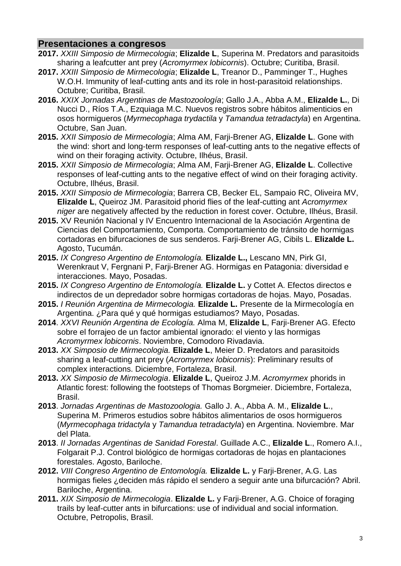### **Presentaciones a congresos**

- **2017.** *XXIII Simposio de Mirmecologia*; **Elizalde L**, Superina M. Predators and parasitoids sharing a leafcutter ant prey (*Acromyrmex lobicornis*). Octubre; Curitiba, Brasil.
- **2017.** *XXIII Simposio de Mirmecologia*; **Elizalde L**, Treanor D., Pamminger T., Hughes W.O.H. Immunity of leaf-cutting ants and its role in host-parasitoid relationships. Octubre; Curitiba, Brasil.
- **2016.** *XXIX Jornadas Argentinas de Mastozoología*; Gallo J.A., Abba A.M., **Elizalde L.**, Di Nucci D., Ríos T.A., Ezquiaga M.C. Nuevos registros sobre hábitos alimenticios en osos hormigueros (*Myrmecophaga trydactila* y *Tamandua tetradactyla*) en Argentina. Octubre, San Juan.
- **2015.** *XXII Simposio de Mirmecologia*; Alma AM, Farji-Brener AG, **Elizalde L**. Gone with the wind: short and long-term responses of leaf-cutting ants to the negative effects of wind on their foraging activity. Octubre, Ilhéus, Brasil.
- **2015.** *XXII Simposio de Mirmecologia*; Alma AM, Farji-Brener AG, **Elizalde L**. Collective responses of leaf-cutting ants to the negative effect of wind on their foraging activity. Octubre, Ilhéus, Brasil.
- **2015.** *XXII Simposio de Mirmecologia*; Barrera CB, Becker EL, Sampaio RC, Oliveira MV, **Elizalde L**, Queiroz JM. Parasitoid phorid flies of the leaf-cutting ant *Acromyrmex niger* are negatively affected by the reduction in forest cover. Octubre, Ilhéus, Brasil.
- **2015.** XV Reunión Nacional y IV Encuentro Internacional de la Asociación Argentina de Ciencias del Comportamiento, Comporta. Comportamiento de tránsito de hormigas cortadoras en bifurcaciones de sus senderos. Farji-Brener AG, Cibils L. **Elizalde L.**  Agosto, Tucumán.
- **2015.** *IX Congreso Argentino de Entomología.* **Elizalde L.,** Lescano MN, Pirk GI, Werenkraut V, Fergnani P, Farji-Brener AG. Hormigas en Patagonia: diversidad e interacciones. Mayo, Posadas.
- **2015.** *IX Congreso Argentino de Entomología.* **Elizalde L.** y Cottet A. Efectos directos e indirectos de un depredador sobre hormigas cortadoras de hojas. Mayo, Posadas.
- **2015.** *I Reunión Argentina de Mirmecologia.* **Elizalde L.** Presente de la Mirmecología en Argentina. ¿Para qué y qué hormigas estudiamos? Mayo, Posadas.
- **2014**. *XXVI Reunión Argentina de Ecología.* Alma M, **Elizalde L**, Farji-Brener AG. Efecto sobre el forrajeo de un factor ambiental ignorado: el viento y las hormigas *Acromyrmex lobicornis*. Noviembre, Comodoro Rivadavia.
- **2013.** *XX Simposio de Mirmecologia.* **Elizalde L**, Meier D. Predators and parasitoids sharing a leaf-cutting ant prey (*Acromyrmex lobicornis*): Preliminary results of complex interactions. Diciembre, Fortaleza, Brasil.
- **2013.** *XX Simposio de Mirmecologia*. **Elizalde L**, Queiroz J.M. *Acromyrmex* phorids in Atlantic forest: following the footsteps of Thomas Borgmeier. Diciembre, Fortaleza, Brasil.
- **2013**. *Jornadas Argentinas de Mastozoologia.* Gallo J. A., Abba A. M., **Elizalde L**., Superina M. Primeros estudios sobre hábitos alimentarios de osos hormigueros (*Myrmecophaga tridactyla* y *Tamandua tetradactyla*) en Argentina. Noviembre. Mar del Plata.
- **2013**. *II Jornadas Argentinas de Sanidad Forestal*. Guillade A.C., **Elizalde L**., Romero A.I., Folgarait P.J. Control biológico de hormigas cortadoras de hojas en plantaciones forestales. Agosto, Bariloche.
- **2012.** *VIII Congreso Argentino de Entomología.* **Elizalde L.** y Farji-Brener, A.G. Las hormigas fieles ¿deciden más rápido el sendero a seguir ante una bifurcación? Abril. Bariloche, Argentina.
- **2011.** *XIX Simposio de Mirmecologia*. **Elizalde L.** y Farji-Brener, A.G. Choice of foraging trails by leaf-cutter ants in bifurcations: use of individual and social information. Octubre, Petropolis, Brasil.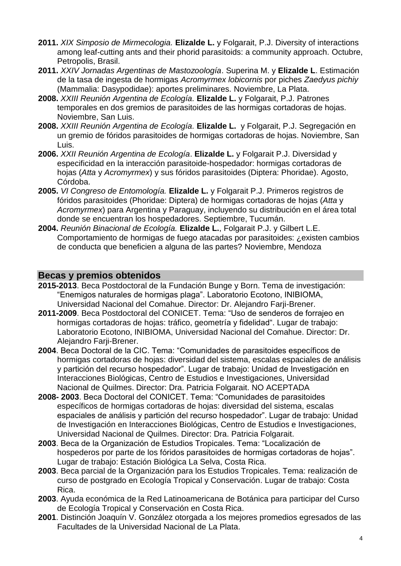- **2011.** *XIX Simposio de Mirmecologia.* **Elizalde L.** y Folgarait, P.J. Diversity of interactions among leaf-cutting ants and their phorid parasitoids: a community approach. Octubre, Petropolis, Brasil.
- **2011.** *XXIV Jornadas Argentinas de Mastozoología*. Superina M. y **Elizalde L**. Estimación de la tasa de ingesta de hormigas *Acromyrmex lobicornis* por piches *Zaedyus pichiy* (Mammalia: Dasypodidae): aportes preliminares. Noviembre, La Plata.
- **2008.** *XXIII Reunión Argentina de Ecología.* **Elizalde L.** y Folgarait, P.J. Patrones temporales en dos gremios de parasitoides de las hormigas cortadoras de hojas. Noviembre, San Luis.
- **2008.** *XXIII Reunión Argentina de Ecología.* **Elizalde L.** y Folgarait, P.J. Segregación en un gremio de fóridos parasitoides de hormigas cortadoras de hojas. Noviembre, San Luis.
- **2006.** *XXII Reunión Argentina de Ecología*. **Elizalde L.** y Folgarait P.J. Diversidad y especificidad en la interacción parasitoide-hospedador: hormigas cortadoras de hojas (*Atta* y *Acromyrmex*) y sus fóridos parasitoides (Diptera: Phoridae). Agosto, Córdoba.
- **2005.** *VI Congreso de Entomología.* **Elizalde L.** y Folgarait P.J. Primeros registros de fóridos parasitoides (Phoridae: Diptera) de hormigas cortadoras de hojas (*Atta* y *Acromyrmex*) para Argentina y Paraguay, incluyendo su distribución en el área total donde se encuentran los hospedadores. Septiembre, Tucumán.
- **2004.** *Reunión Binacional de Ecología.* **Elizalde L.**, Folgarait P.J. y Gilbert L.E. Comportamiento de hormigas de fuego atacadas por parasitoides: ¿existen cambios de conducta que beneficien a alguna de las partes? Noviembre, Mendoza

### **Becas y premios obtenidos**

- **2015-2013**. Beca Postdoctoral de la Fundación Bunge y Born. Tema de investigación: "Enemigos naturales de hormigas plaga". Laboratorio Ecotono, INIBIOMA, Universidad Nacional del Comahue. Director: Dr. Alejandro Farji-Brener.
- **2011-2009**. Beca Postdoctoral del CONICET. Tema: "Uso de senderos de forrajeo en hormigas cortadoras de hojas: tráfico, geometría y fidelidad". Lugar de trabajo: Laboratorio Ecotono, INIBIOMA, Universidad Nacional del Comahue. Director: Dr. Alejandro Farji-Brener.
- **2004**. Beca Doctoral de la CIC. Tema: "Comunidades de parasitoides específicos de hormigas cortadoras de hojas: diversidad del sistema, escalas espaciales de análisis y partición del recurso hospedador". Lugar de trabajo: Unidad de Investigación en Interacciones Biológicas, Centro de Estudios e Investigaciones, Universidad Nacional de Quilmes. Director: Dra. Patricia Folgarait. NO ACEPTADA
- **2008- 2003**. Beca Doctoral del CONICET. Tema: "Comunidades de parasitoides específicos de hormigas cortadoras de hojas: diversidad del sistema, escalas espaciales de análisis y partición del recurso hospedador". Lugar de trabajo: Unidad de Investigación en Interacciones Biológicas, Centro de Estudios e Investigaciones, Universidad Nacional de Quilmes. Director: Dra. Patricia Folgarait.
- **2003**. Beca de la Organización de Estudios Tropicales. Tema: "Localización de hospederos por parte de los fóridos parasitoides de hormigas cortadoras de hojas". Lugar de trabajo: Estación Biológica La Selva, Costa Rica.
- **2003**. Beca parcial de la Organización para los Estudios Tropicales. Tema: realización de curso de postgrado en Ecología Tropical y Conservación. Lugar de trabajo: Costa Rica.
- **2003**. Ayuda económica de la Red Latinoamericana de Botánica para participar del Curso de Ecología Tropical y Conservación en Costa Rica.
- **2001**. Distinción Joaquín V. González otorgada a los mejores promedios egresados de las Facultades de la Universidad Nacional de La Plata.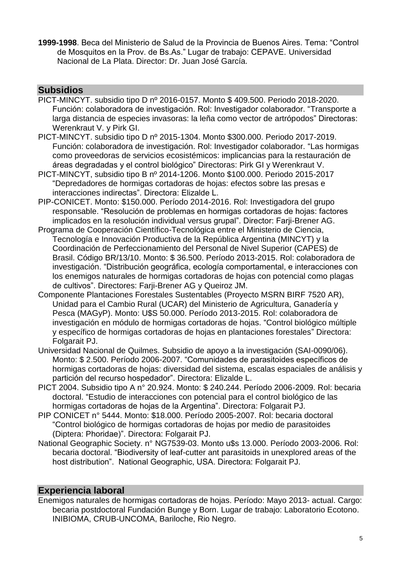**1999-1998**. Beca del Ministerio de Salud de la Provincia de Buenos Aires. Tema: "Control de Mosquitos en la Prov. de Bs.As." Lugar de trabajo: CEPAVE. Universidad Nacional de La Plata. Director: Dr. Juan José García.

### **Subsidios**

- PICT-MINCYT. subsidio tipo D nº 2016-0157. Monto \$ 409.500. Periodo 2018-2020. Función: colaboradora de investigación. Rol: Investigador colaborador. "Transporte a larga distancia de especies invasoras: la leña como vector de artrópodos" Directoras: Werenkraut V. y Pirk GI.
- PICT-MINCYT. subsidio tipo D nº 2015-1304. Monto \$300.000. Periodo 2017-2019. Función: colaboradora de investigación. Rol: Investigador colaborador. "Las hormigas como proveedoras de servicios ecosistémicos: implicancias para la restauración de áreas degradadas y el control biológico" Directoras: Pirk GI y Werenkraut V.
- PICT-MINCYT, subsidio tipo B nº 2014-1206. Monto \$100.000. Periodo 2015-2017 "Depredadores de hormigas cortadoras de hojas: efectos sobre las presas e interacciones indirectas". Directora: Elizalde L.
- PIP-CONICET. Monto: \$150.000. Período 2014-2016. Rol: Investigadora del grupo responsable. "Resolución de problemas en hormigas cortadoras de hojas: factores implicados en la resolución individual versus grupal". Director: Farji-Brener AG.
- Programa de Cooperación Científico-Tecnológica entre el Ministerio de Ciencia, Tecnología e Innovación Productiva de la República Argentina (MINCYT) y la Coordinación de Perfeccionamiento del Personal de Nivel Superior (CAPES) de Brasil. Código BR/13/10. Monto: \$ 36.500. Período 2013-2015. Rol: colaboradora de investigación. "Distribución geográfica, ecología comportamental, e interacciones con los enemigos naturales de hormigas cortadoras de hojas con potencial como plagas de cultivos". Directores: Farji-Brener AG y Queiroz JM.
- Componente Plantaciones Forestales Sustentables (Proyecto MSRN BIRF 7520 AR), Unidad para el Cambio Rural (UCAR) del Ministerio de Agricultura, Ganadería y Pesca (MAGyP). Monto: U\$S 50.000. Período 2013-2015. Rol: colaboradora de investigación en módulo de hormigas cortadoras de hojas. "Control biológico múltiple y específico de hormigas cortadoras de hojas en plantaciones forestales" Directora: Folgarait PJ.
- Universidad Nacional de Quilmes. Subsidio de apoyo a la investigación (SAI-0090/06). Monto: \$ 2.500. Período 2006-2007. "Comunidades de parasitoides específicos de hormigas cortadoras de hojas: diversidad del sistema, escalas espaciales de análisis y partición del recurso hospedador". Directora: Elizalde L.
- PICT 2004. Subsidio tipo A n° 20.924. Monto: \$ 240.244. Período 2006-2009. Rol: becaria doctoral. "Estudio de interacciones con potencial para el control biológico de las hormigas cortadoras de hojas de la Argentina". Directora: Folgarait PJ.
- PIP CONICET n° 5444. Monto: \$18.000. Período 2005-2007. Rol: becaria doctoral "Control biológico de hormigas cortadoras de hojas por medio de parasitoides (Diptera: Phoridae)". Directora: Folgarait PJ.
- National Geographic Society. n° NG7539-03. Monto u\$s 13.000. Período 2003-2006. Rol: becaria doctoral. "Biodiversity of leaf-cutter ant parasitoids in unexplored areas of the host distribution". National Geographic, USA. Directora: Folgarait PJ.

### **Experiencia laboral**

Enemigos naturales de hormigas cortadoras de hojas. Período: Mayo 2013- actual. Cargo: becaria postdoctoral Fundación Bunge y Born. Lugar de trabajo: Laboratorio Ecotono. INIBIOMA, CRUB-UNCOMA, Bariloche, Rio Negro.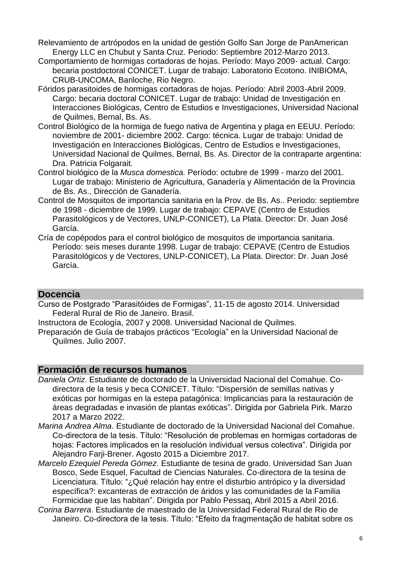- Relevamiento de artrópodos en la unidad de gestión Golfo San Jorge de PanAmerican Energy LLC en Chubut y Santa Cruz. Periodo: Septiembre 2012-Marzo 2013.
- Comportamiento de hormigas cortadoras de hojas. Período: Mayo 2009- actual. Cargo: becaria postdoctoral CONICET. Lugar de trabajo: Laboratorio Ecotono. INIBIOMA, CRUB-UNCOMA, Bariloche, Rio Negro.
- Fóridos parasitoides de hormigas cortadoras de hojas. Período: Abril 2003-Abril 2009. Cargo: becaria doctoral CONICET. Lugar de trabajo: Unidad de Investigación en Interacciones Biológicas, Centro de Estudios e Investigaciones, Universidad Nacional de Quilmes, Bernal, Bs. As.
- Control Biológico de la hormiga de fuego nativa de Argentina y plaga en EEUU. Período: noviembre de 2001- diciembre 2002. Cargo: técnica. Lugar de trabajo: Unidad de Investigación en Interacciones Biológicas, Centro de Estudios e Investigaciones, Universidad Nacional de Quilmes, Bernal, Bs. As. Director de la contraparte argentina: Dra. Patricia Folgarait.
- Control biológico de la *Musca domestica.* Período: octubre de 1999 marzo del 2001. Lugar de trabajo: Ministerio de Agricultura, Ganadería y Alimentación de la Provincia de Bs. As., Dirección de Ganadería.
- Control de Mosquitos de importancia sanitaria en la Prov. de Bs. As.. Periodo: septiembre de 1998 - diciembre de 1999. Lugar de trabajo: CEPAVE (Centro de Estudios Parasitológicos y de Vectores, UNLP-CONICET), La Plata. Director: Dr. Juan José García.
- Cría de copépodos para el control biológico de mosquitos de importancia sanitaria. Período: seis meses durante 1998. Lugar de trabajo: CEPAVE (Centro de Estudios Parasitológicos y de Vectores, UNLP-CONICET), La Plata. Director: Dr. Juan José García.

#### **Docencia**

Curso de Postgrado "Parasitóides de Formigas", 11-15 de agosto 2014. Universidad Federal Rural de Rio de Janeiro. Brasil.

Instructora de Ecología, 2007 y 2008. Universidad Nacional de Quilmes.

Preparación de Guía de trabajos prácticos "Ecología" en la Universidad Nacional de Quilmes. Julio 2007.

#### **Formación de recursos humanos**

- *Daniela Ortiz*. Estudiante de doctorado de la Universidad Nacional del Comahue. Codirectora de la tesis y beca CONICET. Título: "Dispersión de semillas nativas y exóticas por hormigas en la estepa patagónica: Implicancias para la restauración de áreas degradadas e invasión de plantas exóticas". Dirigida por Gabriela Pirk. Marzo 2017 a Marzo 2022.
- *Marina Andrea Alma*. Estudiante de doctorado de la Universidad Nacional del Comahue. Co-directora de la tesis. Título: "Resolución de problemas en hormigas cortadoras de hojas: Factores implicados en la resolución individual versus colectiva". Dirigida por Alejandro Farji-Brener. Agosto 2015 a Diciembre 2017.
- *Marcelo Ezequiel Pereda Gómez*. Estudiante de tesina de grado. Universidad San Juan Bosco, Sede Esquel, Facultad de Ciencias Naturales. Co-directora de la tesina de Licenciatura. Título: "¿Qué relación hay entre el disturbio antrópico y la diversidad específica?: excanteras de extracción de áridos y las comunidades de la Familia Formicidae que las habitan". Dirigida por Pablo Pessaq, Abril 2015 a Abril 2016.
- *Corina Barrera*. Estudiante de maestrado de la Universidad Federal Rural de Rio de Janeiro. Co-directora de la tesis. Título: "Efeito da fragmentação de habitat sobre os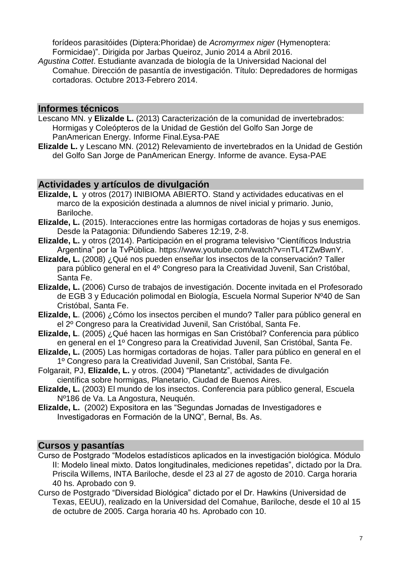forídeos parasitóides (Diptera:Phoridae) de *Acromyrmex niger* (Hymenoptera: Formicidae)". Dirigida por Jarbas Queiroz, Junio 2014 a Abril 2016.

*Agustina Cottet*. Estudiante avanzada de biología de la Universidad Nacional del Comahue. Dirección de pasantía de investigación. Título: Depredadores de hormigas cortadoras. Octubre 2013-Febrero 2014.

#### **Informes técnicos**

- Lescano MN. y **Elizalde L.** (2013) Caracterización de la comunidad de invertebrados: Hormigas y Coleópteros de la Unidad de Gestión del Golfo San Jorge de PanAmerican Energy. Informe Final.Eysa-PAE
- **Elizalde L.** y Lescano MN. (2012) Relevamiento de invertebrados en la Unidad de Gestión del Golfo San Jorge de PanAmerican Energy. Informe de avance. Eysa-PAE

#### **Actividades y artículos de divulgación**

- **Elizalde, L** y otros (2017) INIBIOMA ABIERTO. Stand y actividades educativas en el marco de la exposición destinada a alumnos de nivel inicial y primario. Junio, Bariloche.
- **Elizalde, L.** (2015). Interacciones entre las hormigas cortadoras de hojas y sus enemigos. Desde la Patagonia: Difundiendo Saberes 12:19, 2-8.
- **Elizalde, L.** y otros (2014). Participación en el programa televisivo "Científicos Industria Argentina" por la TvPública. https://www.youtube.com/watch?v=nTL4TZwBwnY.
- **Elizalde, L.** (2008) ¿Qué nos pueden enseñar los insectos de la conservación? Taller para público general en el 4º Congreso para la Creatividad Juvenil, San Cristóbal, Santa Fe.
- **Elizalde, L.** (2006) Curso de trabajos de investigación. Docente invitada en el Profesorado de EGB 3 y Educación polimodal en Biología, Escuela Normal Superior Nº40 de San Cristóbal, Santa Fe.
- **Elizalde, L**. (2006) ¿Cómo los insectos perciben el mundo? Taller para público general en el 2º Congreso para la Creatividad Juvenil, San Cristóbal, Santa Fe.
- **Elizalde, L**. (2005) ¿Qué hacen las hormigas en San Cristóbal? Conferencia para público en general en el 1º Congreso para la Creatividad Juvenil, San Cristóbal, Santa Fe.
- **Elizalde, L.** (2005) Las hormigas cortadoras de hojas. Taller para público en general en el 1º Congreso para la Creatividad Juvenil, San Cristóbal, Santa Fe.
- Folgarait, PJ, **Elizalde, L.** y otros. (2004) "Planetantz", actividades de divulgación científica sobre hormigas, Planetario, Ciudad de Buenos Aires.
- **Elizalde, L.** (2003) El mundo de los insectos. Conferencia para público general, Escuela Nº186 de Va. La Angostura, Neuquén.
- **Elizalde, L.** (2002) Expositora en las "Segundas Jornadas de Investigadores e Investigadoras en Formación de la UNQ", Bernal, Bs. As.

#### **Cursos y pasantías**

- Curso de Postgrado "Modelos estadísticos aplicados en la investigación biológica. Módulo II: Modelo lineal mixto. Datos longitudinales, mediciones repetidas", dictado por la Dra. Priscila Willems, INTA Bariloche, desde el 23 al 27 de agosto de 2010. Carga horaria 40 hs. Aprobado con 9.
- Curso de Postgrado "Diversidad Biológica" dictado por el Dr. Hawkins (Universidad de Texas, EEUU), realizado en la Universidad del Comahue, Bariloche, desde el 10 al 15 de octubre de 2005. Carga horaria 40 hs. Aprobado con 10.